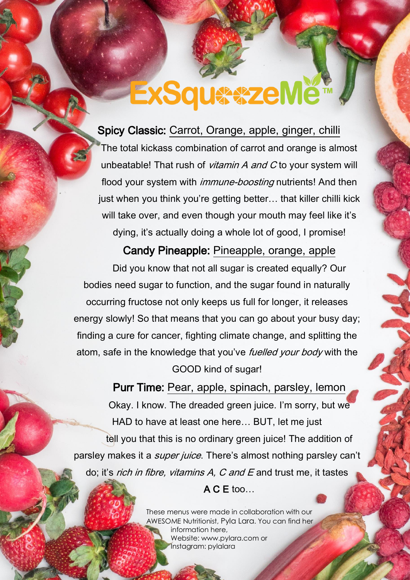## **ExSqu##zeMe**

Spicy Classic: Carrot, Orange, apple, ginger, chilli

The total kickass combination of carrot and orange is almost unbeatable! That rush of *vitamin A and C* to your system will flood your system with *immune-boosting* nutrients! And then just when you think you're getting better… that killer chilli kick will take over, and even though your mouth may feel like it's dying, it's actually doing a whole lot of good, I promise!

Candy Pineapple: Pineapple, orange, apple Did you know that not all sugar is created equally? Our bodies need sugar to function, and the sugar found in naturally occurring fructose not only keeps us full for longer, it releases energy slowly! So that means that you can go about your busy day; finding a cure for cancer, fighting climate change, and splitting the atom, safe in the knowledge that you've *fuelled your body* with the GOOD kind of sugar!

Purr Time: Pear, apple, spinach, parsley, lemon Okay. I know. The dreaded green juice. I'm sorry, but we HAD to have at least one here… BUT, let me just tell you that this is no ordinary green juice! The addition of parsley makes it a *super juice*. There's almost nothing parsley can't do; it's rich in fibre, vitamins A, C and E and trust me, it tastes

A C E too…

These menus were made in collaboration with our AWESOME Nutritionist, Pyla Lara. You can find her information here, Website: www.pylara.com or Instagram: pylalara